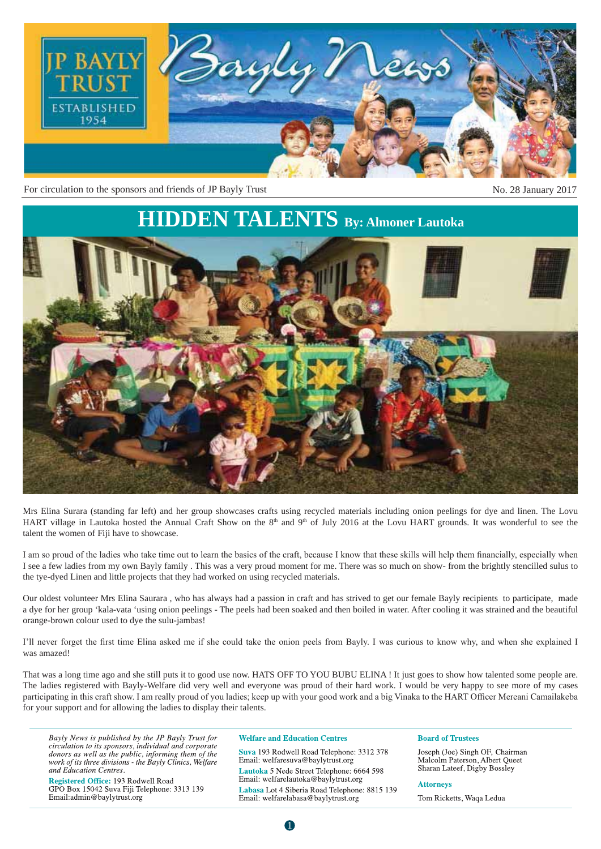

For circulation to the sponsors and friends of JP Bayly Trust No. 28 January 2017

## **HIDDEN TALENTS By: Almoner Lautoka**



Mrs Elina Surara (standing far left) and her group showcases crafts using recycled materials including onion peelings for dye and linen. The Lovu HART village in Lautoka hosted the Annual Craft Show on the 8<sup>th</sup> and 9<sup>th</sup> of July 2016 at the Lovu HART grounds. It was wonderful to see the talent the women of Fiji have to showcase.

I am so proud of the ladies who take time out to learn the basics of the craft, because I know that these skills will help them financially, especially when I see a few ladies from my own Bayly family . This was a very proud moment for me. There was so much on show- from the brightly stencilled sulus to the tye-dyed Linen and little projects that they had worked on using recycled materials.

Our oldest volunteer Mrs Elina Saurara , who has always had a passion in craft and has strived to get our female Bayly recipients to participate, made a dye for her group 'kala-vata 'using onion peelings - The peels had been soaked and then boiled in water. After cooling it was strained and the beautiful orange-brown colour used to dye the sulu-jambas!

I'll never forget the first time Elina asked me if she could take the onion peels from Bayly. I was curious to know why, and when she explained I was amazed!

That was a long time ago and she still puts it to good use now. HATS OFF TO YOU BUBU ELINA ! It just goes to show how talented some people are. The ladies registered with Bayly-Welfare did very well and everyone was proud of their hard work. I would be very happy to see more of my cases participating in this craft show. I am really proud of you ladies; keep up with your good work and a big Vinaka to the HART Officer Mereani Camailakeba for your support and for allowing the ladies to display their talents.

Bayly News is published by the JP Bayly Trust for circulation to its sponsors, individual and corporate donors as well as the public, informing them of the work of its three divisions - the Bayly Clinics, Welfare and Education Centres.

Registered Office: 193 Rodwell Road GPO Box 15042 Suva Fiji Telephone: 3313 139 Email:admin@baylytrust.org

#### **Welfare and Education Centres**

Suva 193 Rodwell Road Telephone: 3312 378 Email: welfaresuva@baylytrust.org Lautoka 5 Nede Street Telephone: 6664 598 Email: welfarelautoka@baylytrust.org Labasa Lot 4 Siberia Road Telephone: 8815 139 Email: welfarelabasa@baylytrust.org

#### **Board of Trustees**

Joseph (Joe) Singh OF, Chairman Malcolm Paterson, Albert Queet Sharan Lateef, Digby Bossley

#### **Attorneys**

Tom Ricketts, Waqa Ledua

0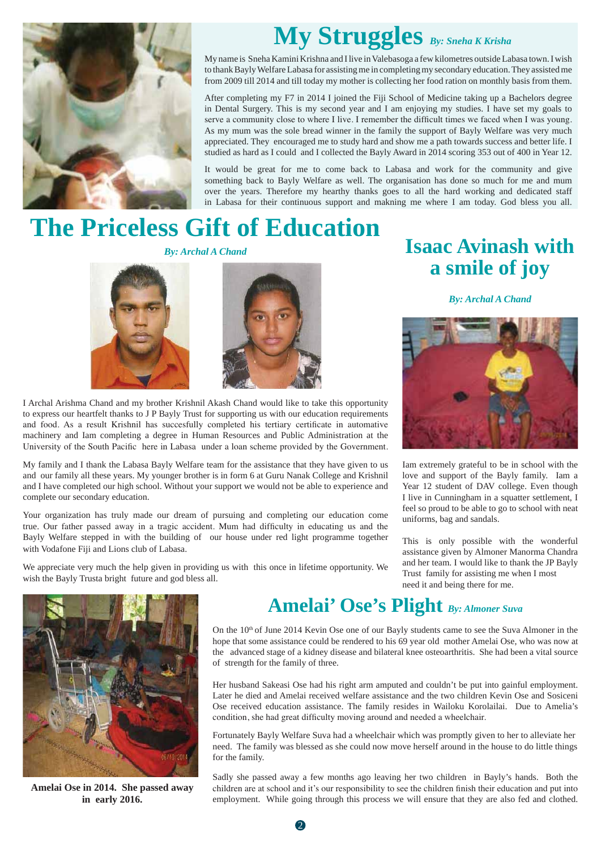

# **My Struggles** *By: Sneha K Krisha*

My name is Sneha Kamini Krishna and I live in Valebasoga a few kilometres outside Labasa town. I wish to thank Bayly Welfare Labasa for assisting me in completing my secondary education. They assisted me from 2009 till 2014 and till today my mother is collecting her food ration on monthly basis from them.

After completing my F7 in 2014 I joined the Fiji School of Medicine taking up a Bachelors degree in Dental Surgery. This is my second year and I am enjoying my studies. I have set my goals to serve a community close to where I live. I remember the difficult times we faced when I was young. As my mum was the sole bread winner in the family the support of Bayly Welfare was very much appreciated. They encouraged me to study hard and show me a path towards success and better life. I studied as hard as I could and I collected the Bayly Award in 2014 scoring 353 out of 400 in Year 12.

It would be great for me to come back to Labasa and work for the community and give something back to Bayly Welfare as well. The organisation has done so much for me and mum over the years. Therefore my hearthy thanks goes to all the hard working and dedicated staff in Labasa for their continuous support and makning me where I am today. God bless you all.

# **The Priceless Gift of Education**

*By: Archal A Chand*





I Archal Arishma Chand and my brother Krishnil Akash Chand would like to take this opportunity to express our heartfelt thanks to J P Bayly Trust for supporting us with our education requirements and food. As a result Krishnil has succesfully completed his tertiary certificate in automative machinery and Iam completing a degree in Human Resources and Public Administration at the University of the South Pacific here in Labasa under a loan scheme provided by the Government.

My family and I thank the Labasa Bayly Welfare team for the assistance that they have given to us and our family all these years. My younger brother is in form 6 at Guru Nanak College and Krishnil and I have completed our high school. Without your support we would not be able to experience and complete our secondary education.

Your organization has truly made our dream of pursuing and completing our education come true. Our father passed away in a tragic accident. Mum had difficulty in educating us and the Bayly Welfare stepped in with the building of our house under red light programme together with Vodafone Fiji and Lions club of Labasa.

We appreciate very much the help given in providing us with this once in lifetime opportunity. We wish the Bayly Trusta bright future and god bless all.

## **Isaac Avinash with a smile of joy**

*By: Archal A Chand*



Iam extremely grateful to be in school with the love and support of the Bayly family. Iam a Year 12 student of DAV college. Even though I live in Cunningham in a squatter settlement, I feel so proud to be able to go to school with neat uniforms, bag and sandals.

This is only possible with the wonderful assistance given by Almoner Manorma Chandra and her team. I would like to thank the JP Bayly Trust family for assisting me when I most need it and being there for me.



**Amelai Ose in 2014. She passed away in early 2016.**

## **Amelai' Ose's Plight** *By: Almoner Suva*

On the 10th of June 2014 Kevin Ose one of our Bayly students came to see the Suva Almoner in the hope that some assistance could be rendered to his 69 year old mother Amelai Ose, who was now at the advanced stage of a kidney disease and bilateral knee osteoarthritis. She had been a vital source of strength for the family of three.

Her husband Sakeasi Ose had his right arm amputed and couldn't be put into gainful employment. Later he died and Amelai received welfare assistance and the two children Kevin Ose and Sosiceni Ose received education assistance. The family resides in Wailoku Korolailai. Due to Amelia's condition, she had great difficulty moving around and needed a wheelchair.

Fortunately Bayly Welfare Suva had a wheelchair which was promptly given to her to alleviate her need. The family was blessed as she could now move herself around in the house to do little things for the family.

Sadly she passed away a few months ago leaving her two children in Bayly's hands. Both the children are at school and it's our responsibility to see the children finish their education and put into employment. While going through this process we will ensure that they are also fed and clothed.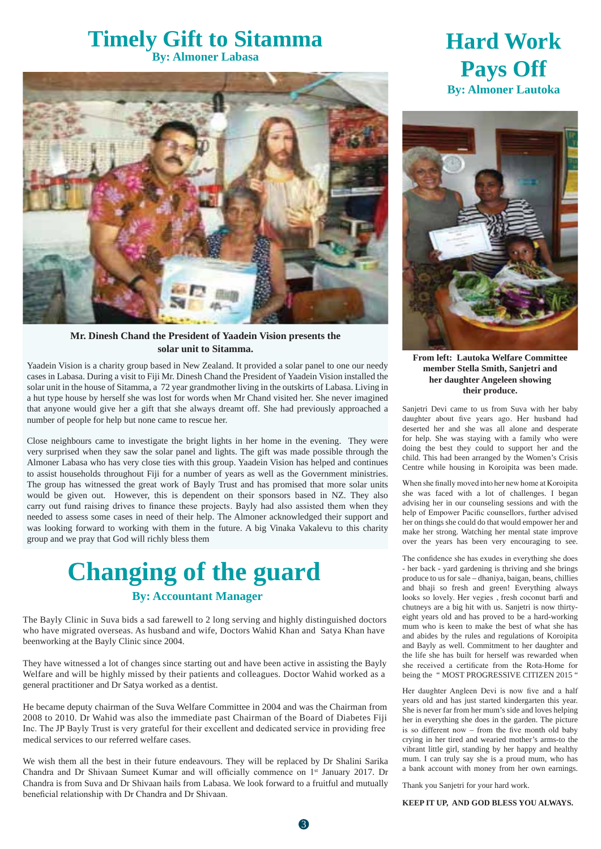### **Timely Gift to Sitamma By: Almoner Labasa**



#### **Mr. Dinesh Chand the President of Yaadein Vision presents the solar unit to Sitamma.**

Yaadein Vision is a charity group based in New Zealand. It provided a solar panel to one our needy cases in Labasa. During a visit to Fiji Mr. Dinesh Chand the President of Yaadein Vision installed the solar unit in the house of Sitamma, a 72 year grandmother living in the outskirts of Labasa. Living in a hut type house by herself she was lost for words when Mr Chand visited her. She never imagined that anyone would give her a gift that she always dreamt off. She had previously approached a number of people for help but none came to rescue her.

Close neighbours came to investigate the bright lights in her home in the evening. They were very surprised when they saw the solar panel and lights. The gift was made possible through the Almoner Labasa who has very close ties with this group. Yaadein Vision has helped and continues to assist households throughout Fiji for a number of years as well as the Government ministries. The group has witnessed the great work of Bayly Trust and has promised that more solar units would be given out. However, this is dependent on their sponsors based in NZ. They also carry out fund raising drives to finance these projects. Bayly had also assisted them when they needed to assess some cases in need of their help. The Almoner acknowledged their support and was looking forward to working with them in the future. A big Vinaka Vakalevu to this charity group and we pray that God will richly bless them

# **Changing of the guard**

#### **By: Accountant Manager**

The Bayly Clinic in Suva bids a sad farewell to 2 long serving and highly distinguished doctors who have migrated overseas. As husband and wife, Doctors Wahid Khan and Satya Khan have beenworking at the Bayly Clinic since 2004.

They have witnessed a lot of changes since starting out and have been active in assisting the Bayly Welfare and will be highly missed by their patients and colleagues. Doctor Wahid worked as a general practitioner and Dr Satya worked as a dentist.

He became deputy chairman of the Suva Welfare Committee in 2004 and was the Chairman from 2008 to 2010. Dr Wahid was also the immediate past Chairman of the Board of Diabetes Fiji Inc. The JP Bayly Trust is very grateful for their excellent and dedicated service in providing free medical services to our referred welfare cases.

We wish them all the best in their future endeavours. They will be replaced by Dr Shalini Sarika Chandra and Dr Shivaan Sumeet Kumar and will officially commence on 1<sup>st</sup> January 2017. Dr Chandra is from Suva and Dr Shivaan hails from Labasa. We look forward to a fruitful and mutually beneficial relationship with Dr Chandra and Dr Shivaan.

## **Hard Work Pays Off By: Almoner Lautoka**



**From left: Lautoka Welfare Committee member Stella Smith, Sanjetri and her daughter Angeleen showing their produce.**

Sanjetri Devi came to us from Suva with her baby daughter about five years ago. Her husband had deserted her and she was all alone and desperate for help. She was staying with a family who were doing the best they could to support her and the child. This had been arranged by the Women's Crisis Centre while housing in Koroipita was been made.

When she finally moved into her new home at Koroipita she was faced with a lot of challenges. I began advising her in our counseling sessions and with the help of Empower Pacific counsellors, further advised her on things she could do that would empower her and make her strong. Watching her mental state improve over the years has been very encouraging to see.

The confidence she has exudes in everything she does - her back - yard gardening is thriving and she brings produce to us for sale – dhaniya, baigan, beans, chillies and bhaji so fresh and green! Everything always looks so lovely. Her vegies, fresh coconut barfi and chutneys are a big hit with us. Sanjetri is now thirtyeight years old and has proved to be a hard-working mum who is keen to make the best of what she has and abides by the rules and regulations of Koroipita and Bayly as well. Commitment to her daughter and the life she has built for herself was rewarded when she received a certificate from the Rota-Home for being the " MOST PROGRESSIVE CITIZEN 2015 "

Her daughter Angleen Devi is now five and a half years old and has just started kindergarten this year. She is never far from her mum's side and loves helping her in everything she does in the garden. The picture is so different now  $-$  from the five month old baby crying in her tired and wearied mother's arms-to the vibrant little girl, standing by her happy and healthy mum. I can truly say she is a proud mum, who has a bank account with money from her own earnings.

Thank you Sanjetri for your hard work.

**KEEP IT UP, AND GOD BLESS YOU ALWAYS.**